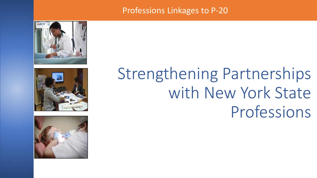### Professions Linkages to P-20





# Strengthening Partnerships with New York State Professions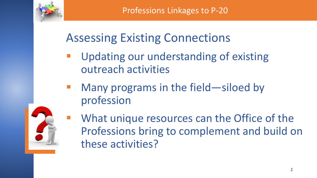

## Assessing Existing Connections

- Updating our understanding of existing outreach activities
- Many programs in the field—siloed by profession



What unique resources can the Office of the Professions bring to complement and build on these activities?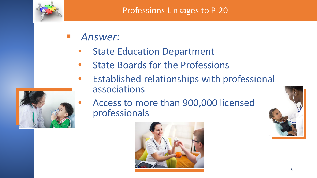

- *Answer:*
	- **State Education Department**
	- State Boards for the Professions
	- Established relationships with professional associations



• Access to more than 900,000 licensed professionals



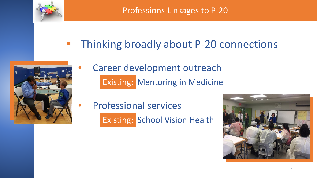

Professions Linkages to P-20

**E** Thinking broadly about P-20 connections



- Career development outreach Existing: Mentoring in Medicine
- Professional services Existing: School Vision Health

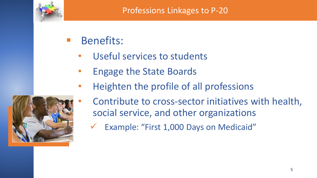

- **Benefits:** 
	- Useful services to students
	- Engage the State Boards
	- Heighten the profile of all professions



- Contribute to cross-sector initiatives with health, social service, and other organizations
	- ✓ Example: "First 1,000 Days on Medicaid"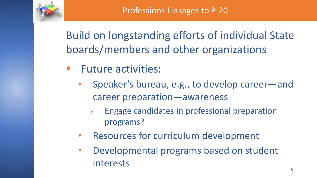

Build on longstanding efforts of individual State boards/members and other organizations

- **Future activities:** 
	- Speaker's bureau, e.g., to develop career—and career preparation—awareness
		- ✓ Engage candidates in professional preparation programs?
	- Resources for curriculum development
	- Developmental programs based on student interests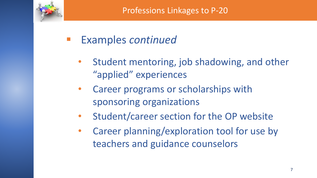

### **Examples** *continued*

- Student mentoring, job shadowing, and other "applied" experiences
- Career programs or scholarships with sponsoring organizations
- Student/career section for the OP website
- Career planning/exploration tool for use by teachers and guidance counselors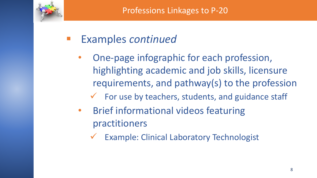

## Examples *continued*

- One-page infographic for each profession, highlighting academic and job skills, licensure requirements, and pathway(s) to the profession
	- $\checkmark$  For use by teachers, students, and guidance staff
- Brief informational videos featuring practitioners
	- ✓ Example: Clinical Laboratory Technologist